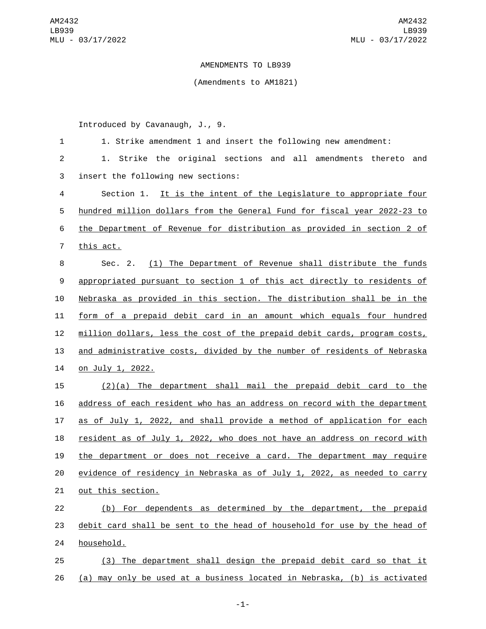## AMENDMENTS TO LB939

## (Amendments to AM1821)

Introduced by Cavanaugh, J., 9.

| $\mathbf{1}$   | 1. Strike amendment 1 and insert the following new amendment:               |  |  |  |  |  |  |
|----------------|-----------------------------------------------------------------------------|--|--|--|--|--|--|
| $\overline{2}$ | 1. Strike the original sections and all amendments thereto<br>and           |  |  |  |  |  |  |
| 3              | insert the following new sections:                                          |  |  |  |  |  |  |
| 4              | Section 1. It is the intent of the Legislature to appropriate four          |  |  |  |  |  |  |
| 5              | hundred million dollars from the General Fund for fiscal year 2022-23 to    |  |  |  |  |  |  |
| 6              | the Department of Revenue for distribution as provided in section 2 of      |  |  |  |  |  |  |
| $\overline{7}$ | this act.                                                                   |  |  |  |  |  |  |
| 8              | Sec. 2. (1) The Department of Revenue shall distribute the funds            |  |  |  |  |  |  |
| 9              | appropriated pursuant to section 1 of this act directly to residents of     |  |  |  |  |  |  |
| 10             | Nebraska as provided in this section. The distribution shall be in the      |  |  |  |  |  |  |
| 11             | form of a prepaid debit card in an amount which equals four hundred         |  |  |  |  |  |  |
| 12             | million dollars, less the cost of the prepaid debit cards, program costs,   |  |  |  |  |  |  |
| 13             | and administrative costs, divided by the number of residents of Nebraska    |  |  |  |  |  |  |
| 14             | <u>on July 1, 2022.</u>                                                     |  |  |  |  |  |  |
| 15             | $(2)(a)$ The department shall mail the prepaid debit card to the            |  |  |  |  |  |  |
| 16             | address of each resident who has an address on record with the department   |  |  |  |  |  |  |
| 17             | as of July 1, 2022, and shall provide a method of application for each      |  |  |  |  |  |  |
| 18             | resident as of July 1, 2022, who does not have an address on record with    |  |  |  |  |  |  |
| 19             | the department or does not receive a card. The department may require       |  |  |  |  |  |  |
| 20             | evidence of residency in Nebraska as of July 1, 2022, as needed to carry    |  |  |  |  |  |  |
| 21             | out this section.                                                           |  |  |  |  |  |  |
| 22             | (b) For dependents as determined by the department, the prepaid             |  |  |  |  |  |  |
| 23             | debit card shall be sent to the head of household for use by the head of    |  |  |  |  |  |  |
| 24             | household.                                                                  |  |  |  |  |  |  |
| 25             | (3) The department shall design the prepaid debit card so that it           |  |  |  |  |  |  |
| 26             | may only be used at a business located in Nebraska, (b) is activated<br>(a) |  |  |  |  |  |  |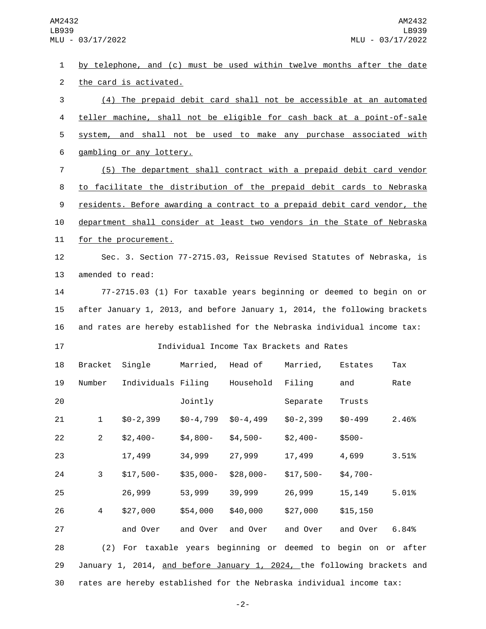by telephone, and (c) must be used within twelve months after the date 2 the card is activated. (4) The prepaid debit card shall not be accessible at an automated teller machine, shall not be eligible for cash back at a point-of-sale system, and shall not be used to make any purchase associated with 6 gambling or any lottery. (5) The department shall contract with a prepaid debit card vendor to facilitate the distribution of the prepaid debit cards to Nebraska residents. Before awarding a contract to a prepaid debit card vendor, the department shall consider at least two vendors in the State of Nebraska 11 for the procurement. Sec. 3. Section 77-2715.03, Reissue Revised Statutes of Nebraska, is 13 amended to read: 77-2715.03 (1) For taxable years beginning or deemed to begin on or after January 1, 2013, and before January 1, 2014, the following brackets and rates are hereby established for the Nebraska individual income tax: Individual Income Tax Brackets and Rates 18 Bracket Single Married, Head of Married, Estates Tax 19 Number Individuals Filing Household Filing and Rate **101** Jointly Separate Trusts \$0-2,399 \$0-4,799 \$0-4,499 \$0-2,399 \$0-499 2.46% \$2,400- \$4,800- \$4,500- \$2,400- \$500- 17,499 34,999 27,999 17,499 4,699 3.51% \$17,500- \$35,000- \$28,000- \$17,500- \$4,700- 26,999 53,999 39,999 26,999 15,149 5.01% \$27,000 \$54,000 \$40,000 \$27,000 \$15,150 and Over and Over and Over and Over and Over 6.84% (2) For taxable years beginning or deemed to begin on or after January 1, 2014, and before January 1, 2024, the following brackets and rates are hereby established for the Nebraska individual income tax:

-2-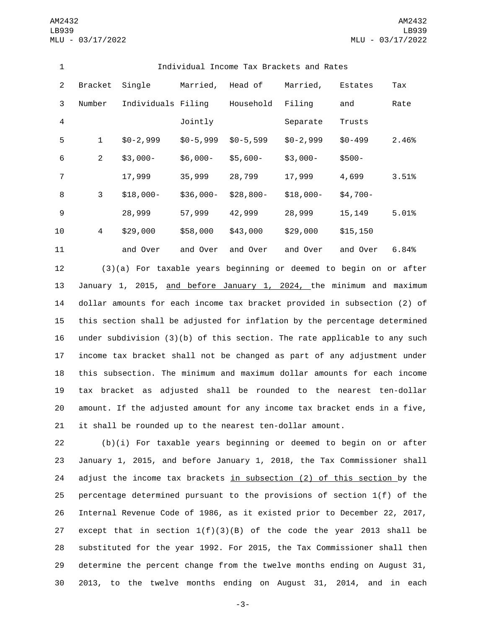| 1              | Individual Income Tax Brackets and Rates |                    |            |               |            |            |       |
|----------------|------------------------------------------|--------------------|------------|---------------|------------|------------|-------|
| 2              | <b>Bracket</b>                           | Single             | Married,   | Head of       | Married,   | Estates    | Tax   |
| 3              | Number                                   | Individuals Filing |            | Household     | Filing     | and        | Rate  |
| 4              |                                          |                    | Jointly    |               | Separate   | Trusts     |       |
| 5              | $\mathbf 1$                              | $$0-2,999$         | $$0-5,999$ | $$0 - 5, 599$ | $$0-2,999$ | $$0 - 499$ | 2.46% |
| 6              | $\overline{2}$                           | $$3,000-$          | $$6,000-$  | $$5,600-$     | $$3,000-$  | $$500-$    |       |
| $\overline{7}$ |                                          | 17,999             | 35,999     | 28,799        | 17,999     | 4,699      | 3.51% |
| 8              | 3                                        | $$18,000-$         | $$36,000-$ | $$28,800-$    | $$18,000-$ | $$4,700-$  |       |
| 9              |                                          | 28,999             | 57,999     | 42,999        | 28,999     | 15,149     | 5.01% |
| 10             | 4                                        | \$29,000           | \$58,000   | \$43,000      | \$29,000   | \$15, 150  |       |
| 11             |                                          | and Over           | and Over   | and Over      | and Over   | and Over   | 6.84% |

 (3)(a) For taxable years beginning or deemed to begin on or after 13 January 1, 2015, and before January 1, 2024, the minimum and maximum dollar amounts for each income tax bracket provided in subsection (2) of this section shall be adjusted for inflation by the percentage determined under subdivision (3)(b) of this section. The rate applicable to any such income tax bracket shall not be changed as part of any adjustment under this subsection. The minimum and maximum dollar amounts for each income tax bracket as adjusted shall be rounded to the nearest ten-dollar amount. If the adjusted amount for any income tax bracket ends in a five, it shall be rounded up to the nearest ten-dollar amount.

 (b)(i) For taxable years beginning or deemed to begin on or after January 1, 2015, and before January 1, 2018, the Tax Commissioner shall adjust the income tax brackets in subsection (2) of this section by the percentage determined pursuant to the provisions of section 1(f) of the Internal Revenue Code of 1986, as it existed prior to December 22, 2017, 27 except that in section  $1(f)(3)(B)$  of the code the year 2013 shall be substituted for the year 1992. For 2015, the Tax Commissioner shall then determine the percent change from the twelve months ending on August 31, 2013, to the twelve months ending on August 31, 2014, and in each

-3-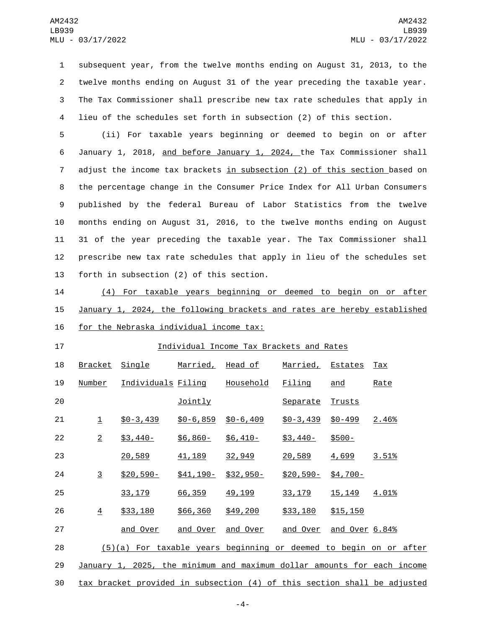subsequent year, from the twelve months ending on August 31, 2013, to the twelve months ending on August 31 of the year preceding the taxable year. The Tax Commissioner shall prescribe new tax rate schedules that apply in lieu of the schedules set forth in subsection (2) of this section.

 (ii) For taxable years beginning or deemed to begin on or after January 1, 2018, and before January 1, 2024, the Tax Commissioner shall adjust the income tax brackets in subsection (2) of this section based on the percentage change in the Consumer Price Index for All Urban Consumers published by the federal Bureau of Labor Statistics from the twelve months ending on August 31, 2016, to the twelve months ending on August 31 of the year preceding the taxable year. The Tax Commissioner shall prescribe new tax rate schedules that apply in lieu of the schedules set 13 forth in subsection (2) of this section.

 (4) For taxable years beginning or deemed to begin on or after January 1, 2024, the following brackets and rates are hereby established 16 for the Nebraska individual income tax:

## Individual Income Tax Brackets and Rates

| 18 | <b>Bracket</b> | Single                                                                   | <u>Married,</u> | <u>Head of</u>   | <u>Married,</u> | <u>Estates</u> | <u>Tax</u>                                                              |
|----|----------------|--------------------------------------------------------------------------|-----------------|------------------|-----------------|----------------|-------------------------------------------------------------------------|
| 19 | Number         | <u>Individuals Filing</u>                                                |                 | <u>Household</u> | Filing          | and            | Rate                                                                    |
| 20 |                |                                                                          | Jointly         |                  | Separate        | Trusts         |                                                                         |
| 21 | $\mathbf 1$    | $$0 - 3,439$                                                             | $$0 - 6, 859$   | $$0 - 6, 409$    | $$0 - 3,439$    | $$0 - 499$     | 2.46%                                                                   |
| 22 | $\overline{2}$ | $$3,440-$                                                                | $$6,860-$       | $$6,410-$        | $$3,440-$       | $$500-$        |                                                                         |
| 23 |                | 20,589                                                                   | 41, 189         | 32,949           | 20,589          | 4,699          | 3.51%                                                                   |
| 24 | $\overline{3}$ | $$20,590-$                                                               | $$41,190-$      | $$32,950-$       | $$20,590-$      | $$4,700-$      |                                                                         |
| 25 |                | 33, 179                                                                  | 66,359          | 49, 199          | 33, 179         | 15, 149        | 4.01%                                                                   |
| 26 | 4              | \$33,180                                                                 | \$66,360        | \$49,200         | \$33,180        | \$15, 150      |                                                                         |
| 27 |                | and Over                                                                 | and Over        | and Over         | and Over        | and Over 6.84% |                                                                         |
| 28 |                | $(5)(a)$ For taxable years beginning or deemed to begin on or after      |                 |                  |                 |                |                                                                         |
| 29 |                |                                                                          |                 |                  |                 |                | January 1, 2025, the minimum and maximum dollar amounts for each income |
| 30 |                | tax bracket provided in subsection (4) of this section shall be adjusted |                 |                  |                 |                |                                                                         |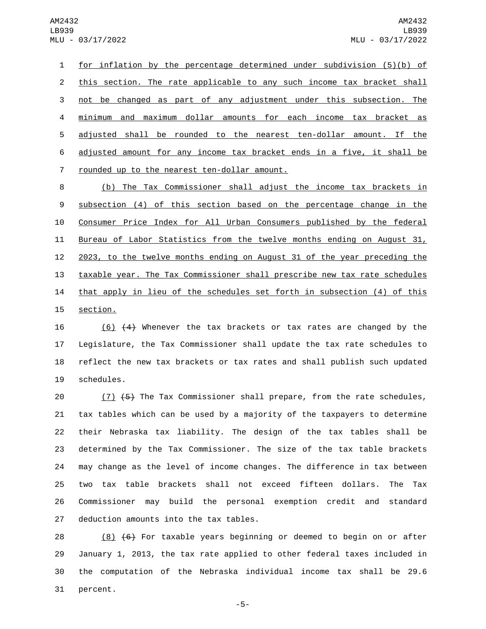1 for inflation by the percentage determined under subdivision (5)(b) of 2 this section. The rate applicable to any such income tax bracket shall 3 not be changed as part of any adjustment under this subsection. The 4 minimum and maximum dollar amounts for each income tax bracket as 5 adjusted shall be rounded to the nearest ten-dollar amount. If the 6 adjusted amount for any income tax bracket ends in a five, it shall be 7 rounded up to the nearest ten-dollar amount.

 (b) The Tax Commissioner shall adjust the income tax brackets in subsection (4) of this section based on the percentage change in the Consumer Price Index for All Urban Consumers published by the federal Bureau of Labor Statistics from the twelve months ending on August 31, 2023, to the twelve months ending on August 31 of the year preceding the taxable year. The Tax Commissioner shall prescribe new tax rate schedules 14 that apply in lieu of the schedules set forth in subsection (4) of this 15 section.

 (6) (4) Whenever the tax brackets or tax rates are changed by the Legislature, the Tax Commissioner shall update the tax rate schedules to reflect the new tax brackets or tax rates and shall publish such updated 19 schedules.

20 (7) (5) The Tax Commissioner shall prepare, from the rate schedules, tax tables which can be used by a majority of the taxpayers to determine their Nebraska tax liability. The design of the tax tables shall be determined by the Tax Commissioner. The size of the tax table brackets may change as the level of income changes. The difference in tax between two tax table brackets shall not exceed fifteen dollars. The Tax Commissioner may build the personal exemption credit and standard 27 deduction amounts into the tax tables.

 $(8)$   $(6)$  For taxable years beginning or deemed to begin on or after January 1, 2013, the tax rate applied to other federal taxes included in the computation of the Nebraska individual income tax shall be 29.6 31 percent.

-5-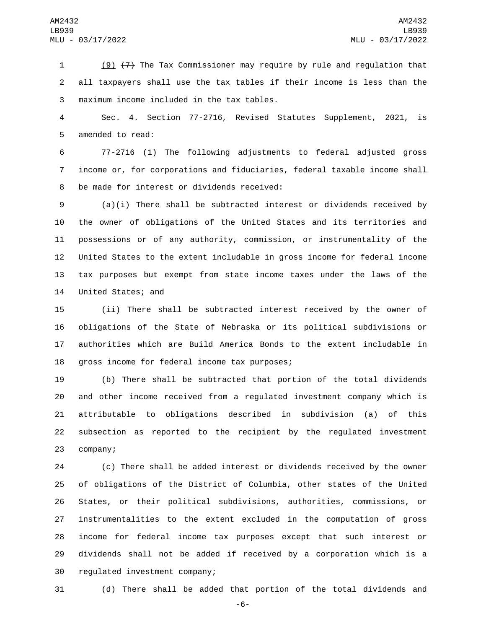(9) (7) The Tax Commissioner may require by rule and regulation that all taxpayers shall use the tax tables if their income is less than the maximum income included in the tax tables.3

 Sec. 4. Section 77-2716, Revised Statutes Supplement, 2021, is 5 amended to read:

 77-2716 (1) The following adjustments to federal adjusted gross income or, for corporations and fiduciaries, federal taxable income shall 8 be made for interest or dividends received:

 (a)(i) There shall be subtracted interest or dividends received by the owner of obligations of the United States and its territories and possessions or of any authority, commission, or instrumentality of the United States to the extent includable in gross income for federal income tax purposes but exempt from state income taxes under the laws of the 14 United States; and

 (ii) There shall be subtracted interest received by the owner of obligations of the State of Nebraska or its political subdivisions or authorities which are Build America Bonds to the extent includable in 18 gross income for federal income tax purposes;

 (b) There shall be subtracted that portion of the total dividends and other income received from a regulated investment company which is attributable to obligations described in subdivision (a) of this subsection as reported to the recipient by the regulated investment 23 company;

 (c) There shall be added interest or dividends received by the owner of obligations of the District of Columbia, other states of the United States, or their political subdivisions, authorities, commissions, or instrumentalities to the extent excluded in the computation of gross income for federal income tax purposes except that such interest or dividends shall not be added if received by a corporation which is a 30 regulated investment company;

(d) There shall be added that portion of the total dividends and

-6-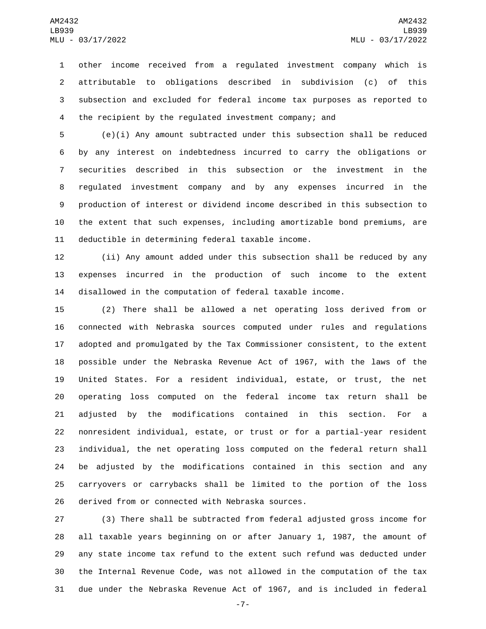other income received from a regulated investment company which is attributable to obligations described in subdivision (c) of this subsection and excluded for federal income tax purposes as reported to the recipient by the regulated investment company; and

 (e)(i) Any amount subtracted under this subsection shall be reduced by any interest on indebtedness incurred to carry the obligations or securities described in this subsection or the investment in the regulated investment company and by any expenses incurred in the production of interest or dividend income described in this subsection to the extent that such expenses, including amortizable bond premiums, are 11 deductible in determining federal taxable income.

 (ii) Any amount added under this subsection shall be reduced by any expenses incurred in the production of such income to the extent disallowed in the computation of federal taxable income.

 (2) There shall be allowed a net operating loss derived from or connected with Nebraska sources computed under rules and regulations adopted and promulgated by the Tax Commissioner consistent, to the extent possible under the Nebraska Revenue Act of 1967, with the laws of the United States. For a resident individual, estate, or trust, the net operating loss computed on the federal income tax return shall be adjusted by the modifications contained in this section. For a nonresident individual, estate, or trust or for a partial-year resident individual, the net operating loss computed on the federal return shall be adjusted by the modifications contained in this section and any carryovers or carrybacks shall be limited to the portion of the loss 26 derived from or connected with Nebraska sources.

 (3) There shall be subtracted from federal adjusted gross income for all taxable years beginning on or after January 1, 1987, the amount of any state income tax refund to the extent such refund was deducted under the Internal Revenue Code, was not allowed in the computation of the tax due under the Nebraska Revenue Act of 1967, and is included in federal

-7-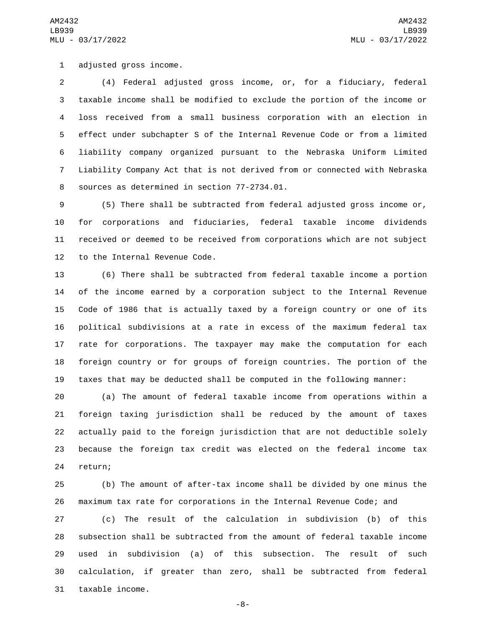1 adjusted gross income.

 (4) Federal adjusted gross income, or, for a fiduciary, federal taxable income shall be modified to exclude the portion of the income or loss received from a small business corporation with an election in effect under subchapter S of the Internal Revenue Code or from a limited liability company organized pursuant to the Nebraska Uniform Limited Liability Company Act that is not derived from or connected with Nebraska 8 sources as determined in section 77-2734.01.

 (5) There shall be subtracted from federal adjusted gross income or, for corporations and fiduciaries, federal taxable income dividends received or deemed to be received from corporations which are not subject 12 to the Internal Revenue Code.

 (6) There shall be subtracted from federal taxable income a portion of the income earned by a corporation subject to the Internal Revenue Code of 1986 that is actually taxed by a foreign country or one of its political subdivisions at a rate in excess of the maximum federal tax rate for corporations. The taxpayer may make the computation for each foreign country or for groups of foreign countries. The portion of the taxes that may be deducted shall be computed in the following manner:

 (a) The amount of federal taxable income from operations within a foreign taxing jurisdiction shall be reduced by the amount of taxes actually paid to the foreign jurisdiction that are not deductible solely because the foreign tax credit was elected on the federal income tax 24 return;

 (b) The amount of after-tax income shall be divided by one minus the maximum tax rate for corporations in the Internal Revenue Code; and

 (c) The result of the calculation in subdivision (b) of this subsection shall be subtracted from the amount of federal taxable income used in subdivision (a) of this subsection. The result of such calculation, if greater than zero, shall be subtracted from federal 31 taxable income.

-8-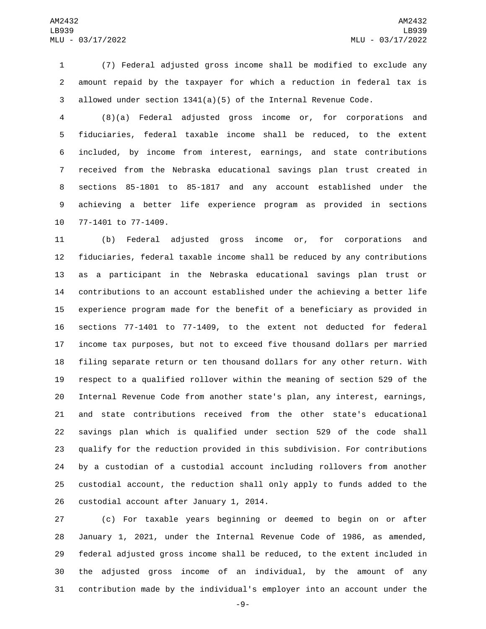(7) Federal adjusted gross income shall be modified to exclude any amount repaid by the taxpayer for which a reduction in federal tax is allowed under section 1341(a)(5) of the Internal Revenue Code.

 (8)(a) Federal adjusted gross income or, for corporations and fiduciaries, federal taxable income shall be reduced, to the extent included, by income from interest, earnings, and state contributions received from the Nebraska educational savings plan trust created in sections 85-1801 to 85-1817 and any account established under the achieving a better life experience program as provided in sections 10 77-1401 to 77-1409.

 (b) Federal adjusted gross income or, for corporations and fiduciaries, federal taxable income shall be reduced by any contributions as a participant in the Nebraska educational savings plan trust or contributions to an account established under the achieving a better life experience program made for the benefit of a beneficiary as provided in sections 77-1401 to 77-1409, to the extent not deducted for federal income tax purposes, but not to exceed five thousand dollars per married filing separate return or ten thousand dollars for any other return. With respect to a qualified rollover within the meaning of section 529 of the Internal Revenue Code from another state's plan, any interest, earnings, and state contributions received from the other state's educational savings plan which is qualified under section 529 of the code shall qualify for the reduction provided in this subdivision. For contributions by a custodian of a custodial account including rollovers from another custodial account, the reduction shall only apply to funds added to the 26 custodial account after January 1, 2014.

 (c) For taxable years beginning or deemed to begin on or after January 1, 2021, under the Internal Revenue Code of 1986, as amended, federal adjusted gross income shall be reduced, to the extent included in the adjusted gross income of an individual, by the amount of any contribution made by the individual's employer into an account under the

-9-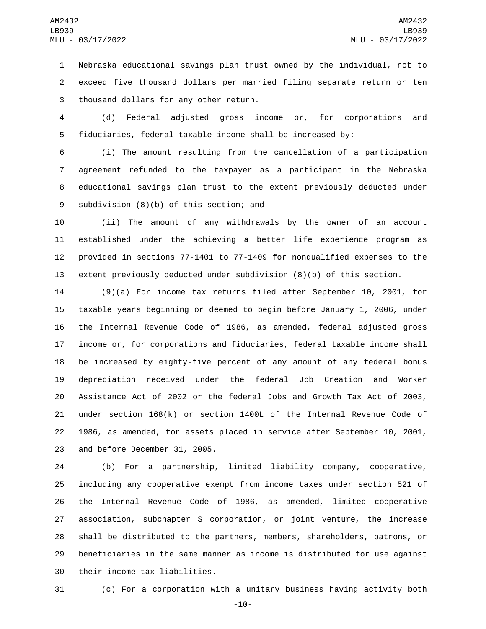Nebraska educational savings plan trust owned by the individual, not to exceed five thousand dollars per married filing separate return or ten 3 thousand dollars for any other return.

 (d) Federal adjusted gross income or, for corporations and fiduciaries, federal taxable income shall be increased by:

 (i) The amount resulting from the cancellation of a participation agreement refunded to the taxpayer as a participant in the Nebraska educational savings plan trust to the extent previously deducted under 9 subdivision (8)(b) of this section; and

 (ii) The amount of any withdrawals by the owner of an account established under the achieving a better life experience program as provided in sections 77-1401 to 77-1409 for nonqualified expenses to the extent previously deducted under subdivision (8)(b) of this section.

 (9)(a) For income tax returns filed after September 10, 2001, for taxable years beginning or deemed to begin before January 1, 2006, under the Internal Revenue Code of 1986, as amended, federal adjusted gross income or, for corporations and fiduciaries, federal taxable income shall be increased by eighty-five percent of any amount of any federal bonus depreciation received under the federal Job Creation and Worker Assistance Act of 2002 or the federal Jobs and Growth Tax Act of 2003, under section 168(k) or section 1400L of the Internal Revenue Code of 1986, as amended, for assets placed in service after September 10, 2001, 23 and before December 31, 2005.

 (b) For a partnership, limited liability company, cooperative, including any cooperative exempt from income taxes under section 521 of the Internal Revenue Code of 1986, as amended, limited cooperative association, subchapter S corporation, or joint venture, the increase shall be distributed to the partners, members, shareholders, patrons, or beneficiaries in the same manner as income is distributed for use against 30 their income tax liabilities.

(c) For a corporation with a unitary business having activity both

-10-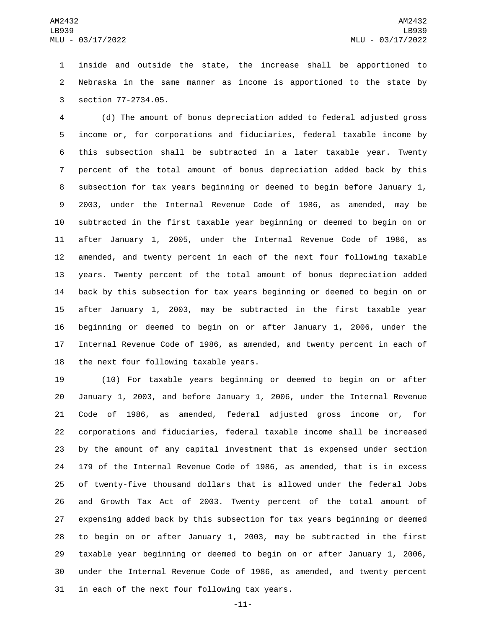inside and outside the state, the increase shall be apportioned to Nebraska in the same manner as income is apportioned to the state by 3 section 77-2734.05.

 (d) The amount of bonus depreciation added to federal adjusted gross income or, for corporations and fiduciaries, federal taxable income by this subsection shall be subtracted in a later taxable year. Twenty percent of the total amount of bonus depreciation added back by this subsection for tax years beginning or deemed to begin before January 1, 2003, under the Internal Revenue Code of 1986, as amended, may be subtracted in the first taxable year beginning or deemed to begin on or after January 1, 2005, under the Internal Revenue Code of 1986, as amended, and twenty percent in each of the next four following taxable years. Twenty percent of the total amount of bonus depreciation added back by this subsection for tax years beginning or deemed to begin on or after January 1, 2003, may be subtracted in the first taxable year beginning or deemed to begin on or after January 1, 2006, under the Internal Revenue Code of 1986, as amended, and twenty percent in each of 18 the next four following taxable years.

 (10) For taxable years beginning or deemed to begin on or after January 1, 2003, and before January 1, 2006, under the Internal Revenue Code of 1986, as amended, federal adjusted gross income or, for corporations and fiduciaries, federal taxable income shall be increased by the amount of any capital investment that is expensed under section 179 of the Internal Revenue Code of 1986, as amended, that is in excess of twenty-five thousand dollars that is allowed under the federal Jobs and Growth Tax Act of 2003. Twenty percent of the total amount of expensing added back by this subsection for tax years beginning or deemed to begin on or after January 1, 2003, may be subtracted in the first taxable year beginning or deemed to begin on or after January 1, 2006, under the Internal Revenue Code of 1986, as amended, and twenty percent 31 in each of the next four following tax years.

-11-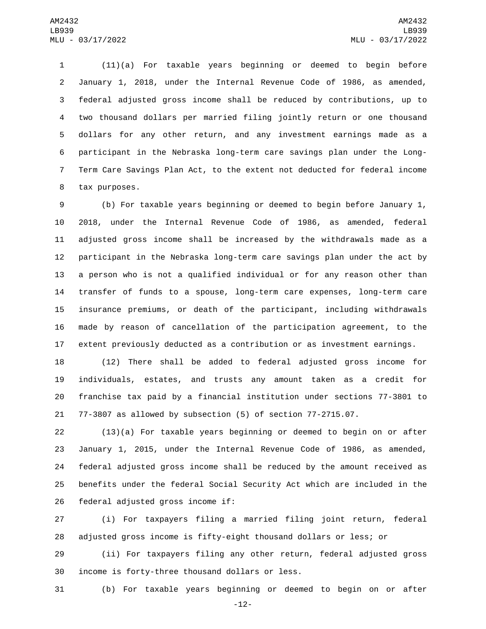(11)(a) For taxable years beginning or deemed to begin before January 1, 2018, under the Internal Revenue Code of 1986, as amended, federal adjusted gross income shall be reduced by contributions, up to two thousand dollars per married filing jointly return or one thousand dollars for any other return, and any investment earnings made as a participant in the Nebraska long-term care savings plan under the Long- Term Care Savings Plan Act, to the extent not deducted for federal income 8 tax purposes.

 (b) For taxable years beginning or deemed to begin before January 1, 2018, under the Internal Revenue Code of 1986, as amended, federal adjusted gross income shall be increased by the withdrawals made as a participant in the Nebraska long-term care savings plan under the act by a person who is not a qualified individual or for any reason other than transfer of funds to a spouse, long-term care expenses, long-term care insurance premiums, or death of the participant, including withdrawals made by reason of cancellation of the participation agreement, to the extent previously deducted as a contribution or as investment earnings.

 (12) There shall be added to federal adjusted gross income for individuals, estates, and trusts any amount taken as a credit for franchise tax paid by a financial institution under sections 77-3801 to 77-3807 as allowed by subsection (5) of section 77-2715.07.

 (13)(a) For taxable years beginning or deemed to begin on or after January 1, 2015, under the Internal Revenue Code of 1986, as amended, federal adjusted gross income shall be reduced by the amount received as benefits under the federal Social Security Act which are included in the 26 federal adjusted gross income if:

 (i) For taxpayers filing a married filing joint return, federal adjusted gross income is fifty-eight thousand dollars or less; or

 (ii) For taxpayers filing any other return, federal adjusted gross 30 income is forty-three thousand dollars or less.

(b) For taxable years beginning or deemed to begin on or after

-12-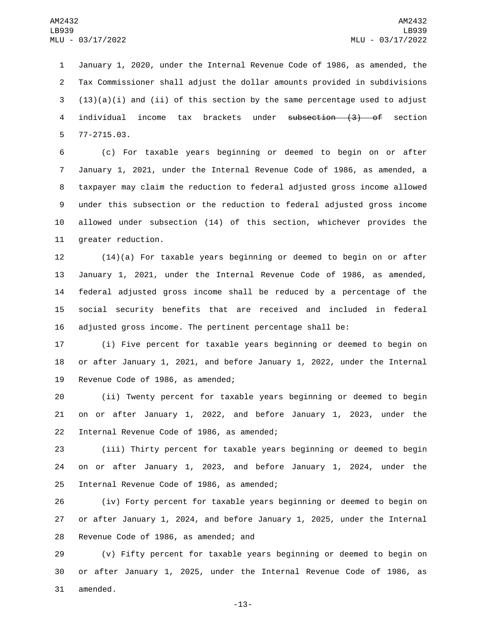January 1, 2020, under the Internal Revenue Code of 1986, as amended, the Tax Commissioner shall adjust the dollar amounts provided in subdivisions  $(13)(a)(i)$  and (ii) of this section by the same percentage used to adjust individual income tax brackets under subsection (3) of section 77-2715.03.5

 (c) For taxable years beginning or deemed to begin on or after January 1, 2021, under the Internal Revenue Code of 1986, as amended, a taxpayer may claim the reduction to federal adjusted gross income allowed under this subsection or the reduction to federal adjusted gross income allowed under subsection (14) of this section, whichever provides the 11 greater reduction.

 (14)(a) For taxable years beginning or deemed to begin on or after January 1, 2021, under the Internal Revenue Code of 1986, as amended, federal adjusted gross income shall be reduced by a percentage of the social security benefits that are received and included in federal adjusted gross income. The pertinent percentage shall be:

 (i) Five percent for taxable years beginning or deemed to begin on or after January 1, 2021, and before January 1, 2022, under the Internal 19 Revenue Code of 1986, as amended;

 (ii) Twenty percent for taxable years beginning or deemed to begin on or after January 1, 2022, and before January 1, 2023, under the 22 Internal Revenue Code of 1986, as amended;

 (iii) Thirty percent for taxable years beginning or deemed to begin on or after January 1, 2023, and before January 1, 2024, under the 25 Internal Revenue Code of 1986, as amended;

 (iv) Forty percent for taxable years beginning or deemed to begin on or after January 1, 2024, and before January 1, 2025, under the Internal 28 Revenue Code of 1986, as amended; and

 (v) Fifty percent for taxable years beginning or deemed to begin on or after January 1, 2025, under the Internal Revenue Code of 1986, as 31 amended.

-13-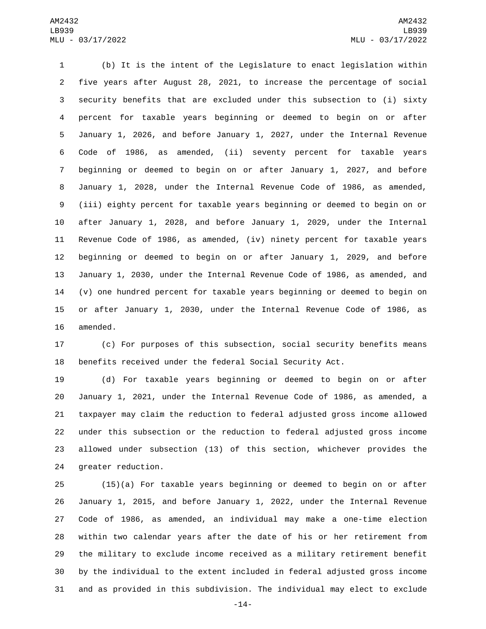(b) It is the intent of the Legislature to enact legislation within five years after August 28, 2021, to increase the percentage of social security benefits that are excluded under this subsection to (i) sixty percent for taxable years beginning or deemed to begin on or after January 1, 2026, and before January 1, 2027, under the Internal Revenue Code of 1986, as amended, (ii) seventy percent for taxable years beginning or deemed to begin on or after January 1, 2027, and before January 1, 2028, under the Internal Revenue Code of 1986, as amended, (iii) eighty percent for taxable years beginning or deemed to begin on or after January 1, 2028, and before January 1, 2029, under the Internal Revenue Code of 1986, as amended, (iv) ninety percent for taxable years beginning or deemed to begin on or after January 1, 2029, and before January 1, 2030, under the Internal Revenue Code of 1986, as amended, and (v) one hundred percent for taxable years beginning or deemed to begin on or after January 1, 2030, under the Internal Revenue Code of 1986, as 16 amended.

 (c) For purposes of this subsection, social security benefits means benefits received under the federal Social Security Act.

 (d) For taxable years beginning or deemed to begin on or after January 1, 2021, under the Internal Revenue Code of 1986, as amended, a taxpayer may claim the reduction to federal adjusted gross income allowed under this subsection or the reduction to federal adjusted gross income allowed under subsection (13) of this section, whichever provides the 24 greater reduction.

 (15)(a) For taxable years beginning or deemed to begin on or after January 1, 2015, and before January 1, 2022, under the Internal Revenue Code of 1986, as amended, an individual may make a one-time election within two calendar years after the date of his or her retirement from the military to exclude income received as a military retirement benefit by the individual to the extent included in federal adjusted gross income and as provided in this subdivision. The individual may elect to exclude

-14-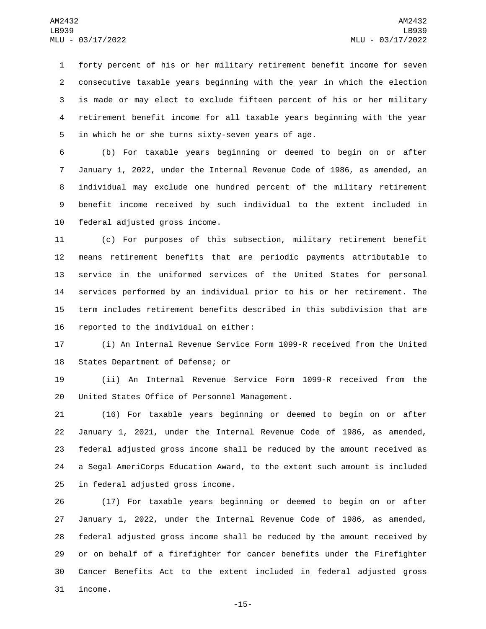forty percent of his or her military retirement benefit income for seven consecutive taxable years beginning with the year in which the election is made or may elect to exclude fifteen percent of his or her military retirement benefit income for all taxable years beginning with the year 5 in which he or she turns sixty-seven years of age.

 (b) For taxable years beginning or deemed to begin on or after January 1, 2022, under the Internal Revenue Code of 1986, as amended, an individual may exclude one hundred percent of the military retirement benefit income received by such individual to the extent included in 10 federal adjusted gross income.

 (c) For purposes of this subsection, military retirement benefit means retirement benefits that are periodic payments attributable to service in the uniformed services of the United States for personal services performed by an individual prior to his or her retirement. The term includes retirement benefits described in this subdivision that are 16 reported to the individual on either:

 (i) An Internal Revenue Service Form 1099-R received from the United 18 States Department of Defense; or

 (ii) An Internal Revenue Service Form 1099-R received from the 20 United States Office of Personnel Management.

 (16) For taxable years beginning or deemed to begin on or after January 1, 2021, under the Internal Revenue Code of 1986, as amended, federal adjusted gross income shall be reduced by the amount received as a Segal AmeriCorps Education Award, to the extent such amount is included 25 in federal adjusted gross income.

 (17) For taxable years beginning or deemed to begin on or after January 1, 2022, under the Internal Revenue Code of 1986, as amended, federal adjusted gross income shall be reduced by the amount received by or on behalf of a firefighter for cancer benefits under the Firefighter Cancer Benefits Act to the extent included in federal adjusted gross 31 income.

-15-